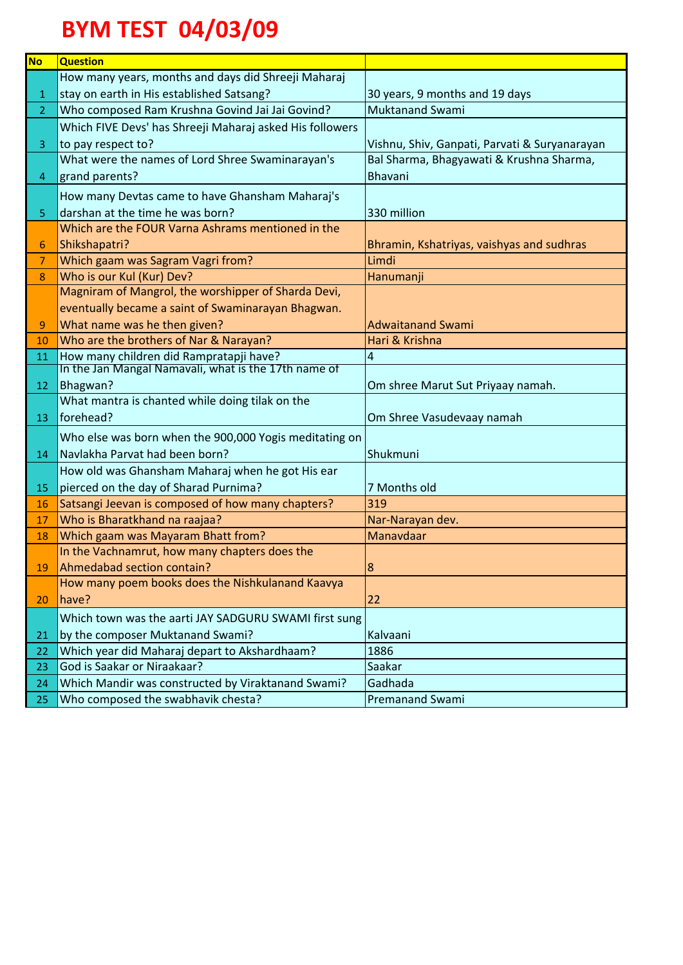## **BYM TEST 04/03/09**

| <b>No</b>      | <b>Question</b>                                          |                                               |
|----------------|----------------------------------------------------------|-----------------------------------------------|
|                | How many years, months and days did Shreeji Maharaj      |                                               |
| 1              | stay on earth in His established Satsang?                | 30 years, 9 months and 19 days                |
| 2 <sup>1</sup> | Who composed Ram Krushna Govind Jai Jai Govind?          | <b>Muktanand Swami</b>                        |
|                | Which FIVE Devs' has Shreeji Maharaj asked His followers |                                               |
| 3              | to pay respect to?                                       | Vishnu, Shiv, Ganpati, Parvati & Suryanarayan |
|                | What were the names of Lord Shree Swaminarayan's         | Bal Sharma, Bhagyawati & Krushna Sharma,      |
| 4              | grand parents?                                           | <b>Bhavani</b>                                |
|                | How many Devtas came to have Ghansham Maharaj's          |                                               |
| 5              | darshan at the time he was born?                         | 330 million                                   |
|                | Which are the FOUR Varna Ashrams mentioned in the        |                                               |
| 6              | Shikshapatri?                                            | Bhramin, Kshatriyas, vaishyas and sudhras     |
| $\overline{7}$ | Which gaam was Sagram Vagri from?                        | Limdi                                         |
| 8              | Who is our Kul (Kur) Dev?                                | Hanumanji                                     |
|                | Magniram of Mangrol, the worshipper of Sharda Devi,      |                                               |
|                | eventually became a saint of Swaminarayan Bhagwan.       |                                               |
| 9              | What name was he then given?                             | <b>Adwaitanand Swami</b>                      |
| 10             | Who are the brothers of Nar & Narayan?                   | Hari & Krishna                                |
| 11             | How many children did Rampratapji have?                  | 4                                             |
|                | In the Jan Mangal Namavali, what is the 17th name of     |                                               |
| 12             | Bhagwan?                                                 | Om shree Marut Sut Priyaay namah.             |
|                | What mantra is chanted while doing tilak on the          |                                               |
| 13             | forehead?                                                | Om Shree Vasudevaay namah                     |
|                | Who else was born when the 900,000 Yogis meditating on   |                                               |
| 14             | Navlakha Parvat had been born?                           | Shukmuni                                      |
|                | How old was Ghansham Maharaj when he got His ear         |                                               |
| 15             | pierced on the day of Sharad Purnima?                    | 7 Months old                                  |
| 16             | Satsangi Jeevan is composed of how many chapters?        | 319                                           |
| 17             | Who is Bharatkhand na raajaa?                            | Nar-Narayan dev.                              |
| 18             | Which gaam was Mayaram Bhatt from?                       | Manavdaar                                     |
|                | In the Vachnamrut, how many chapters does the            |                                               |
| 19             | Ahmedabad section contain?                               | 8                                             |
|                | How many poem books does the Nishkulanand Kaavya         |                                               |
| 20             | have?                                                    | 22                                            |
|                | Which town was the aarti JAY SADGURU SWAMI first sung    |                                               |
| 21             | by the composer Muktanand Swami?                         | Kalvaani                                      |
| 22             | Which year did Maharaj depart to Akshardhaam?            | 1886                                          |
| 23             | God is Saakar or Niraakaar?                              | Saakar                                        |
| 24             | Which Mandir was constructed by Viraktanand Swami?       | Gadhada                                       |
| 25             | Who composed the swabhavik chesta?                       | <b>Premanand Swami</b>                        |